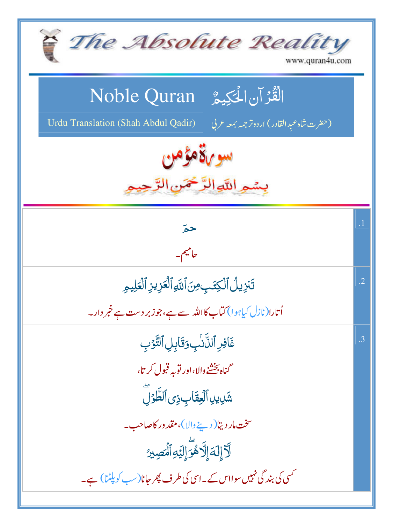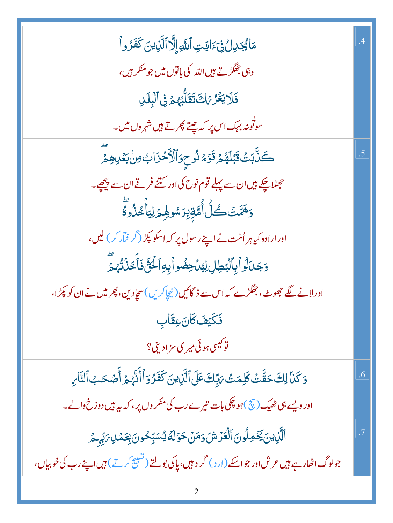| مَايُجَلِلُ فِيَءَايَتِ ٱللَّهِ إِلَّا ٱلَّذِينَ كَفَرُواْ                                          |    |
|-----------------------------------------------------------------------------------------------------|----|
| وہی جھگڑتے <del>ہ</del> یں اللہ کی باتوں میں جو منکر ہیں،                                           |    |
| فَلَايَغُرُ مَاتَ تَقَلُّهُ هُ فِى ٱلْبِلَىٰ                                                        |    |
| سوتُونہ بہک اس پر کہ چلتے پھرتے ہیں شہر وں میں۔                                                     |    |
| ڪَنَّابَتۡ قَبۡلَهُمۡ قَوۡمُ نُوحٖوَٱلۡأَخۡزَابُ مِنۡ بَعۡلِهِمۡ                                    |    |
| حیٹلا چکے ہیں ان سے پہلے قوم نوح کی اور کتنے فرقے ان سے پیچھے۔                                      |    |
| ۅؘۿؠۜ۠ؾؙڴڵ۠ؗٲ۠ؗ۠ڡؐڐؚؚڹؚڒ <i>ۺ</i> ۅۿؚؽٙڶۣؾٲۜڂٛۮؙۅۨؖ۠ڴ                                               |    |
| اور ارادہ کیاہر اُمّت نے اپنے رسول پر کہ اسکو پکڑ ( <sup>گ</sup> ر فیّار <i>کر</i> ) لیں،           |    |
| 5جَدَالُواً بِٱلْبَطِلِ لِيُدۡ حِضُواۡ بِهِ ٱلۡخَنَّ فَأَخَذَٰنَّهُمۡ                               |    |
| اور لانے لگے جھوٹ، جھگڑے کہ اس سے ڈگائیں( نیچاکریں)سچادین، پھر میں نے ان کو پکڑا،                   |    |
| فَكَيْفَ <i>كَأنَ عِق</i> َابِ                                                                      |    |
| توکيسی <i>ہ</i> وئی مير ي سزاديني؟                                                                  |    |
| وَكَنَا لِكَ حَقَّتْ كَلِمَتْ رَبِّكَ عَلَى ٱلَّذِينَ كَفَرُوَٱ أَنَّهُمْ أَصْحَبُ ٱلنَّارِ         | .6 |
| اور ویسے ہی ٹھیک (چٓ)ہو چکی بات تیرے رب کی منکر وں پر، کہ بیہ ہیں دوزخ والے۔                        |    |
| ٱلَّٰٓزِينَ يَحۡمِلُونَ ٱلۡعَزۡشَ وَمَنۡ حَوۡلَهٗ يُسَبِّحُونَ بِحَمۡلِ ۚ رَبِّهِ حۡ                |    |
| جولوگ اٹھار ہے ہیں عرش اور جو اسکے (ارد ) گر د ہیں، پاکی بولتے (تسبیح کرتے ) ہیں اپنے رب کی خوبیاں، |    |
|                                                                                                     |    |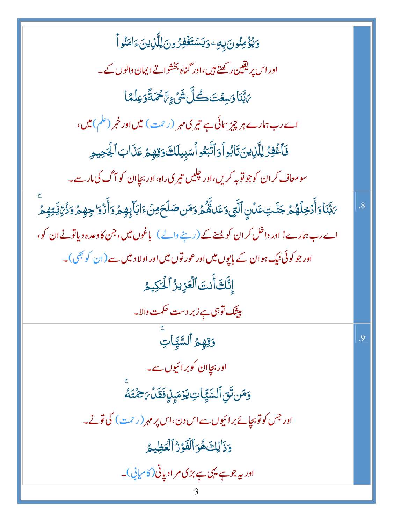| <u>ۅ</u> ێۏٙٛڡؚڹؙۅڽؘۨۨۑؚۜڢٷؾۺ <del>ؾؘۼ</del> ۫ڣؚڒ۠ۄڹڶۣڷڶڕ۬ؠڹؘٵؚڡٙڹ۠ۅٲ                                                             |                |
|-----------------------------------------------------------------------------------------------------------------------------------|----------------|
| اور اس پر یقین رکھتے ہیں،اور گناہ بخشواتے ایمان والوں کے۔                                                                         |                |
| ٙ؆ڹۜڹؘٵۅؘڛڠؾؘڂڴڶۺؘ۬؏ؚ؆ٙڂمؘڐؘۊٷڷڡٙٵ                                                                                                |                |
| اے رب ہمارے ہر چیز سائی ہے تیری مہر (رحمت) میں اور خبر (علم)میں،                                                                  |                |
| فَأَغۡفِرۡ لِلَّذِينَ تَابُواۡ وَٱتَّبَعُواۡسَبِيلَكَ وَقِهِمۡ عَذَابَٱلۡجَدِمِ                                                   |                |
| سومعاف کر ان کوجو توبہ کریں،اور چلیں تیر <sub>کی</sub> راہ،اور بچاان کو آگ کی مار سے۔                                             |                |
| <i>؆ڹ</i> ۜ۠ڹؘٵۏٲٛٙۮڂؚڵۿ۠ؽ۫ جؘڵٙؾؾڡؘۮۨڹۣٱڵؖڗۣؽ؋ڡؘٮۿۜ۠ٛۿؙ <sub>ۮ</sub> ۏڡؘڹڞڶڂؘڝٛ۫ٵڹٵۧؠؚٟڥۿۥۏٲؘ۠ۯ۫ۊ <sub>ٚ</sub> ڿڥۿۥڣۯڋؙ؆ۣؾ۠ؾؚڥۿۨ | $\overline{8}$ |
| اے رب ہمارے! اور داخل کر ان کو یسنے کے (رہنے والے)  باغوں میں، جن کاوعدہ دیاتونے ان کو،                                           |                |
| اور جو کوئی نیک ہوان کے با <sub>ل</sub> پوں میں اور عور توں میں اور اولا دی <del>ی</del> ں سے (ان کو بھی)۔                        |                |
| إِنَّكَ أَنتَ ٱلْعَزِيزُ ٱلْحَكِيمُ                                                                                               |                |
| <mark>بیثک توہی ہے زبر دست حکمت والا۔</mark>                                                                                      |                |
| وَقِهِمُ ٱلسَّيَّاتِ                                                                                                              | $\overline{0}$ |
| اور بجاان کوبرائیوں سے۔                                                                                                           |                |
| وَمَن تَقِ ٱلسَّيِّاتِ يَوۡمَىٰۭنِ فَقَلۡ مَ حِمۡتَهُ                                                                             |                |
| اور جس کو توبیجائے بر ائیوں سے اس دن،اس پر مہر (رحمت ) کی تونے۔                                                                   |                |
| دَدَ لِكَ هُوَ ٱلْفَوْرُ ٱلْعَظِيمُ                                                                                               |                |
| اور یہ جو ہے یہی ہے بڑی مر ادیانی (کامیابی)۔                                                                                      |                |
| 3                                                                                                                                 |                |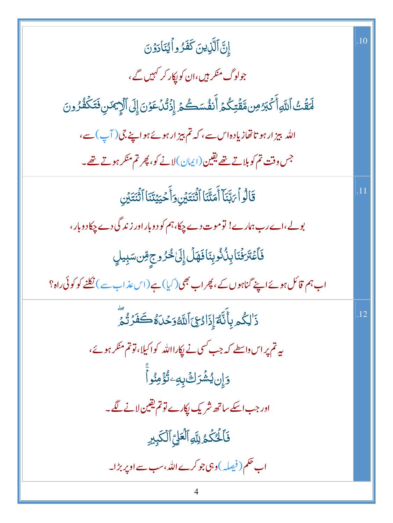| إِنَّ ٱلَّذِينَ كَفَرُواْيُنَادَوُنَ                                                                     | .10 |
|----------------------------------------------------------------------------------------------------------|-----|
| جولوگ منکر <del>ہ</del> یں،ان کو <sub>ل</sub> پکار کر کہیں گے،                                           |     |
| لَمَقَّتُ ٱللَّهِ أَكْبَرُ مِن مَّقَتِكُمۡ أَنفُسَكُمۡ إِذۡتُٰٓلُ عَوۡنَ إِلَى ٱلۡإِيۡمَنِ فَتَكۡفُرُونَ |     |
| اللہ بیز ارہو تا تھازیادہاس سے، کہ تم ہیز ارہوئے ہواپنے جی ( آپ ) سے،                                    |     |
| جس وقت تم کوبلاتے تھے یقین(ایمان)لانے کو، پھر تم منکر ہوتے تھے۔                                          |     |
| قَالُواۡ بَابَّنَاۤ أَمَتَّنَا ٱثۡنَتَيۡنِ وَأَحۡيَيۡنَنَا ٱثۡنَتَيۡنِ                                   |     |
| بولے،اےرب ہمارے! توموت دے چکا،ہم کو دوبار اور زند گی دے چکا دوبار ،                                      |     |
| فَأَعْتَرَفْنَا بِنُذُوبِنَافَهَلِّ إِلَىٰ خُرُوجِ مِّن سَبِيلٍ                                          |     |
| اب ہم قائل ہوئے اپنے گناہوں کے ، پھر اب بھی(کیا) ہے(اس عذاب سے) نکلنے کو کوئی راہ؟                       |     |
| ۮٙ <sup>ٚٳ</sup> ڸػۢ <u>ۄۑؚ</u> ٲۜٮؘ۠ۜڡؖٞٳؚؚۮٙٳۮ؏ؽٲڷڶ <i>ٙ</i> ٷڂٮؘ؋۠ڲٙڡؘۏڎؙ؞ٙؖ                          | .12 |
| یہ تم پر اس واسطے کہ جب کسی نے پکارااللہ کواکیلا، تو تم منکر ہوئے،                                       |     |
| ؘۅٙٳؚڹؽۺؙڗڬۣٙڹٜڡؚۦؾؙ۠ٶٝٙڡؚڹ۠ۅٲٙ                                                                          |     |
| اور جب اسکے ساتھ شریک لکارے تو تم یقین لانے لگے۔                                                         |     |
| فَأَلَّٰئُكُمُ لِلَّهِ ٱلۡعَلِّ ٱلۡكَبِبِرِ                                                              |     |
| اب حکم ( فیصلہ )وہی جو کرے اللہ ،سب سے اوپر بڑا۔                                                         |     |
| 4                                                                                                        |     |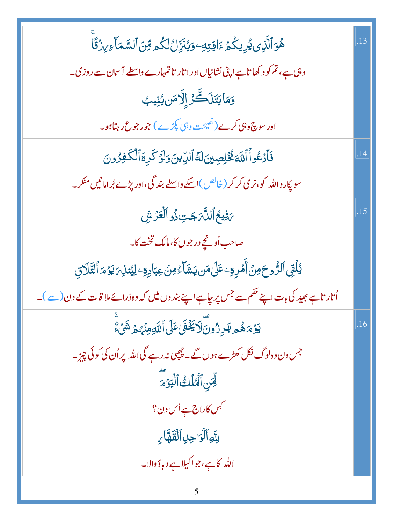| ۿؙۏٱڷۜڕ۬ؠؽ۠ڔؚۑػۢؽٙٵؘؾؾؚؾٷؽڹؘڗؚۨڵڷػۢۄڡؚۜڹؘٲڶڛۜ۠ڡؘٲ <sub>ٷ؆</sub> ؚۯ۬ۊۘٙۜٲ                      |     |
|-----------------------------------------------------------------------------------------------|-----|
| وہی ہے، تم کو د کھاتا ہے اپنی نشانیاں اور اتار تاتمہارے واسطے آسان سے روزی۔                   |     |
| وَمَايَتَنَڪَّرُ إِلَّامَن يُنِيبُ                                                            |     |
| اور سوچ وہی کرے (نصیحت وہی پکڑے) جو رجوع رہتاہو۔                                              |     |
| فَأَدْعُواْ اللَّهَ فُخُلِصِينَ لَهُ الدِّينَ وَلَوْ كَرِةَ الْكَفِرُونَ                      | .14 |
| سو پکارواللہ کو،نر <sub>کی</sub> کر کر ( خالص )اسکے واسطے بند گی،اور پڑے بُرامانیں منکر۔      |     |
| 5فِيعُ ٱللَّهَ جَتِ ذُو ٱلْعَزَّ شِ                                                           | .15 |
| صاحب اُونچے در جوں کا،مالک تخت کا۔                                                            |     |
| ؽڶٙٛقِىٱلرُّوحَ مِنۡ أَمۡرِمِۦعَلَىٰ مَن يَشَآءُ مِنۡ عِبَادِهِۦلِيُننِىٓ يَوۡمَ ٱلتَّلَاقِ   |     |
| اُتار تاہے بھید کی بات اپنے حکم سے جس پر چاہے اپنے بندوں میں کہ وہ ڈرائے ملا قات کے دن (سے )۔ |     |
| <b>ؽۯٙ</b> ۿۿۄڷ۪ڔۯ۠ۅڽؘؖڷٳڲؘؘڠ۬ۿؘ؏ڶڶٲڸٲڡۣڡؚڹ۬ٛۿ۪ؽٙ <sup>ۺ</sup> ۣٙٛۦٚٞ                         | .16 |
| جس دن وہ لوگ نکل کھڑے ہوں گے۔چچپی نہ رہے گی اللہ پر اُن کی کوئی چیز۔                          |     |
| لِّسَ ٱلْمُلَكُ ٱلۡيَوۡمَرَ                                                                   |     |
| <sup>کیس</sup> کاراج ہے اُس دن؟                                                               |     |
| لِلَّهِ ٱلۡوَٰ حِلِ ٱلۡقَمَّاٰ ِ                                                              |     |
| الله کاہے،جواکیلاہے دباؤوالا۔                                                                 |     |
|                                                                                               |     |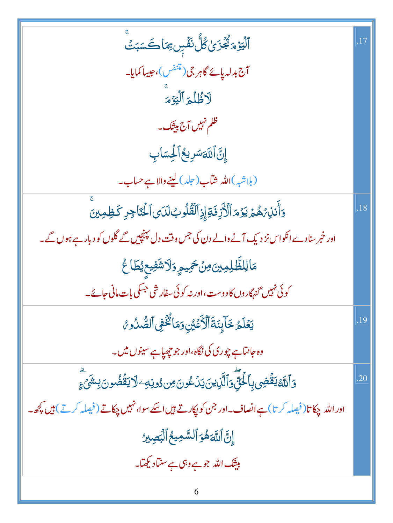| ٱلۡيَوۡمَٱ مُجۡزَىٰ کُلُّ نَفۡسٍ بِمَاكَسَبَتۡ                                                             |     |
|------------------------------------------------------------------------------------------------------------|-----|
| آج بدلہ پائے گاہر جی (متنفس)، حبیبا کمایا۔                                                                 |     |
| لاظُلُمَ ٱلۡيَوۡمَ                                                                                         |     |
| ظلم نہیں آج بیٹک۔                                                                                          |     |
| إِنَّ اَللَّهَسَرِيعُ اَلْحِسَابِ                                                                          |     |
| (بلاشبه)الله ش <mark>اب(حلد) لینے والا ہے حساب۔</mark>                                                     |     |
| وَأَنذِ، هُمَّ يَوْمَ ٱلْأَزِفَةِ إِذِٱلْقُلُوبُ لَدَى ٱلْحَنَّاجِرِ كَظِهِينَ                             | .18 |
| اور خمر سنادے انکواس نز دیک آنے والے دن کی جس وقت دل پہنچیں گے گلوں کو دبار ہے ہوں گے۔                     |     |
| مَالِلظَّلِمِينَ <i>مِنْ حَمِ</i> يمٍ وَلَاشَفِيعِيْطَاعُ                                                  |     |
| کوئی نہیں <sub>گنہگا</sub> روں کا دوست،اور نہ کوئی سفار شی جسکی بات <b>،انی</b> جائے۔                      |     |
| يَعۡلَمُ خَآبِنَةَٱلۡأَعۡيُنِ وَمَا يُّخۡفِى ٱلصُّدُو مُ                                                   | .19 |
| وہ جانتاہے چوری کی نگاہ،اور جو چھپاہے سینوں میں۔                                                           |     |
| <u>ۅ</u> ٲڷڷ <i>ڟ</i> ؿڡۨٞ۬ڞؚؽڔؚٲڂؙۘڹۣۨۧؖۄؘٲڶۜۧۯؚؠڹؘؾؘۮٮ۠ٶڹ؈ۯۅڹ <i>ڢ</i> ٵڒؾڡؘٞۛڞؙۅڹڹؚۺؘ <sub>ٛؽٙ؏</sub> ؚ | .20 |
| اور اللہ چکا تا( فیصلہ کر تا)ہے انصاف۔اور جن کو پکارتے ہیں اسکے سوا، نہیں چکاتے ( فیصلہ کرتے ) ہیں کچھ۔    |     |
| إِنَّ اللَّهَ هُوَ ٱلسَّمِيعُ ٱلۡبَصِبِرُ                                                                  |     |
| بیثک اللہ جو ہے وہی ہے سن <mark>ا</mark> د کچھآ۔                                                           |     |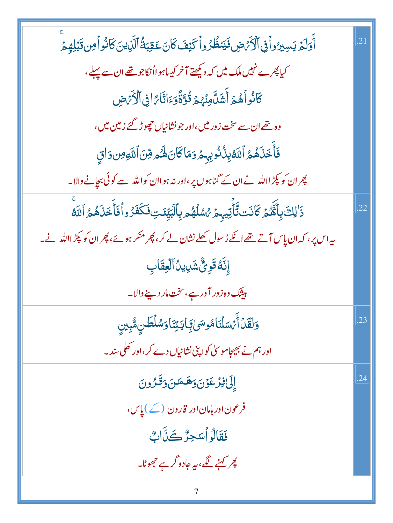| أَوَلَمَ يَسِبِرُواْ فِى ٱلْأَمَضِ فَيَنظُرُواْكَيْفَ كَانَ عَقِبَةُ ٱلَّذِينَ كَانُواْ مِن قَبَلِهِمْ                      | .21 |
|-----------------------------------------------------------------------------------------------------------------------------|-----|
| کیا پھرے نہیں ملک میں کہ دیکھتے آخر کیساہوااُنکاجو تھے ان سے پہلے ،                                                         |     |
| كَانُواْهُمْ أَشَلَّهِنَّهُمْ قُوَّةًوَءَاثَامَّا فِى ٱلْأَرَضِ                                                             |     |
| وہ تھے ان سے سخت زور میں،اور جونشانیاں چھوڑ گئے زمین میں،                                                                   |     |
| فَأَخَذَهُمُ ٱللَّهُ بِذُنُوبِهِمْ وَمَاكَانَ لَهُمْ قِنَ ٱللَّهِ مِن وَاقٍ                                                 |     |
| چر ان کو پکڑ االلہ نے ان کے گناہوں پر ،اور نہ ہو اان کواللہ سے کوئی بجانے والا۔                                             |     |
| ۮٙ <sup>ٚٳ</sup> ڸڬٙ؋ؚٲ۠ۿۜ۠ <i>ۮۏ</i> ػٲۮؘؾڐۜٲؗٞؾۑۭڂ <i>ۯ؇ۺ</i> ۠ڷۿۄڔؚٲڷڹۜؾۣ <i>ڐ</i> ؾ؋ؘػڡؘۮۄٱۘڣٙٲۧڂؘۮؘۿۄ۠ٱڷڷ <sup>ۼ</sup> | .22 |
| ىيەاس پر، كە <mark>ان پاس آتے تھے اگے رُسول كھلے نشان لے</mark> كر، پھر منكر ہوئے، پھران كو پکڑ االلہ نے۔                   |     |
| إِنَّهُ قَوِيٌّ شَرِيدُ ٱلۡعِقَابِ                                                                                          |     |
| <mark>بيشك وه زور آور ہے،سخت مار دينے والا۔</mark>                                                                          |     |
| وَلَقَلْ أَجْسَلْنَاهُوسَىٰ بِمَايَتِنَا وَسُلْطَنِ مُّبِينِ                                                                | .23 |
| اور ہم نے بھیجاموسیٰ کو اپنی نشانیاں دے کر ،اور کھلی سند۔                                                                   |     |
| إِلَىٰ فِرْعَوْنَ وَهَمَنَ وَقَرُونَ                                                                                        | .24 |
| فرعون اور ہامان اور قارون (کے)یاس،                                                                                          |     |
| فَقَالُواْسَجِرٌ كَنَّابٌ                                                                                                   |     |
| <u>کپر کہنے لگے، یہ جادو گرے</u> جھوٹا۔                                                                                     |     |
| 7                                                                                                                           |     |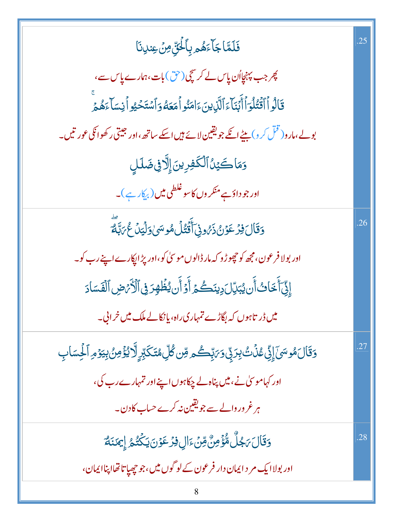| فَلَمَّا جَاًءَهُمْ بِاَلْحَقِّ مِنْ عِندِنَا                                                                           | .25 |
|-------------------------------------------------------------------------------------------------------------------------|-----|
| چر جب پہنچااُن پاس لے کر سچی(حق) بات،ہمارے پاس سے،                                                                      |     |
| قَالُواْ أَقْتُلُوٓ أَأَبۡنَآءَ ٱلَّذِينَءَامَنُواۡ مَعَهُوَاۡسُتَحۡيُواۡنِسَآءَهُمۡ                                    |     |
| بولے،مارو( قُلْ کر و) بیٹے انکے جو یقین لائے ہیں اسکے ساتھ،اور جیتی رکھواٹکی عور تیں۔                                   |     |
| وَمَاكَيۡنُٱلۡكَٰفِرِينَۚ إِلَّآ فِى ضَلَلِ                                                                             |     |
| اور جو داؤہے منکر وں کاسو غلطی میں ( ب <sub>یک</sub> ار ہے )۔                                                           |     |
| <u>وَقَالَ فِرْعَوْنُ ذَرُونِ</u> ٓ أَقْتُلُ مُوسَىٰ وَلَيَنۡ عُمَ لَبَّهَ                                              | .26 |
| اور بولا فرعون، مجھ کو حچوڑ و کہ مار ڈالوں موسیٰ کو،اور پڑ اپکارے اپنے رب کو۔                                           |     |
| إِنِّيَ أَخَابُ أَن يُبَرِّلَ دِينَكُمُ أَوْ أَن يُظُهِرَ فِى ٱلْأَمَّ ضِ ٱلْفَسَادَ                                    |     |
| میں ڈر تاہوں کہ بگاڑے تمہاری راہ، یا نکالے ملک میں خرابی۔                                                               |     |
| <u>و</u> َقَالَ مُوسَىٰٓ إِنِّی عُذۡثُ بِرَبِّی وَىَٰتِّحْکَمِ مِّن کُلِّ مُتَکَبِّرٍ لَّا یُؤۡضِنُ بِیَوۡمِ ٱلۡحِسَابِ |     |
| اور کہاموسیٰ نے، میں پناہ لے چکاہوں اپنے اور تمہارے رب کی،                                                              |     |
| ہر غرور دالے سے جویقین نہ کرے حساب کا دن۔                                                                               |     |
| <u>ۅٙ</u> ۊؘٵڶ <i>ڹ</i> ۼڵٛ؋۠ٷٙڡؚڽ۠؋ؚڹۦٙٳڸڣۯٙٷڹڮػٛؿ۠ <sub>ۿ</sub> ٳؚڝؘڹؘڡؖ                                              | .28 |
| اور بولا ایک مر د ایمان دار فرعون کے لوگوں میں،جوچھپاتا تھااپناایمان،                                                   |     |
| 8                                                                                                                       |     |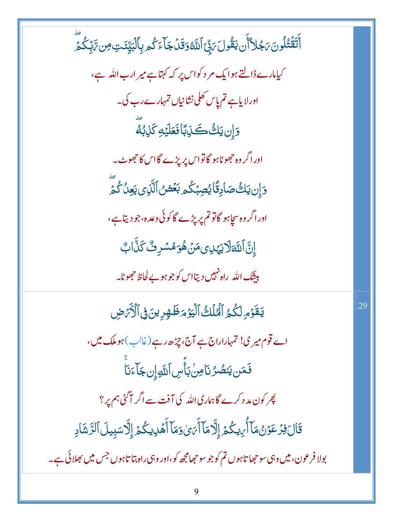ٲٞؾؘڨؘۛڹ۠ڵۄڹؘۥٙۼٳٲٲۜڹؾڨؙۅڶؘ؆۪ڹۨٙٲڷڷۀۊؘقؘڶ؋ؘٵۧءٙػ۠ۄۑؚٲڷڹؖێٸؾؚ؈ؚ؆ؚٞڹػ۠ڡؖٞ کیامارے ڈالتے ہوایک مر د کواس پر کہ کہتاہے میر ارب اللہ ہے، اور لایاہے تم پاس کھلی نشانیاں تمہارے رب کی۔ <u>وَإِن</u> يَكُّكَذِبَاًفَعَلَيْهِ كَذِبُهَّ اور اگر وہ حجھوٹاہو گاتواس پر پڑے گااس کا حجھوٹ۔ <u>وَإِن يَكْ صَادِقًا يُصِبُكُم بَعۡض</u> ٱلَّذِى يَعِنُ كُمَّ اورا گر دہ سچاہو گاتوتم پر پڑے گاکوئی دعدہ،جو دیتاہے، ٳؚڹؖٞٲڷڐڡؘڷٳؾؠٙڹ؈ڡؘڹۛۿؙۅؘۿۺڔٮ۠ٛػٙڹۨۧٲۛڮ بی<u>ن</u>نگ اللّٰہ راہ <sup>نہ</sup>یں دیتااس کو جو ہو بے لحاظ حجھوٹا۔ يَقَوْمِ لَكُمُ ٱلْمُلَكُ ٱلْيَوْمَ ظَهْرِينَ فِى ٱلْأَرْمِضِ .29 اے قوم میر ی! تمہاراراج ہے آج، چڑھ رہے(غالب)ہو ملک میں، **فَ**مَن يَنصُرُنَامِنۢبَأَّسِ ٱللَّهِۚإِنجَاۤءَنَاۖ پھر کون مد د کرے گاہماری اللہ کی آفت سے اگر آگئی ہم پر؟ قَالَ فِرۡ عَوۡنُ مَآ أَٰٓ بِكُمۡ إِلَّا مَآ أَٰٓ بَٰٓ وَمَآ أَهۡلِالِكُمۡ إِلَّا سَبِيلَ ٱلرَّشَادِ بولا فرعون، میں وہی سو حجا تاہوں تم کو جو سو حجامجھ کو،اور وہی راہ بتا تاہوں جس میں بھلائی ہے۔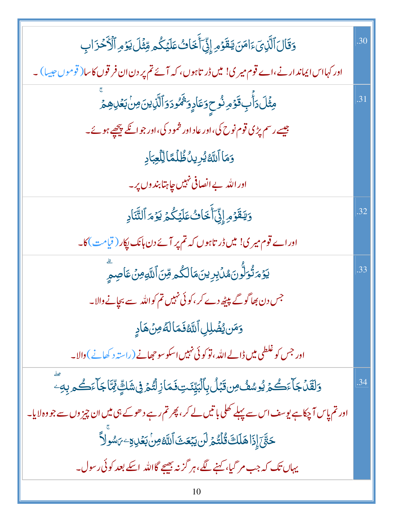| وَقَالَ ٱلَّذِىٓءَامَنَ يَقَوۡمِ إِنِّىٓ أَخَاتُ عَلَيۡكُم مِّثۡلَ يَوۡمِ ٱلۡأَحۡزَابِ                         | .30 |
|----------------------------------------------------------------------------------------------------------------|-----|
| اور کہااس ایماند ارنے،اے قوم میر کی! میں ڈر تاہوں، کہ آئے تم پر دن ان فر قوں کاسا( قوموں عِیسا) ۔              |     |
| مِثۡلَ دَأَبِ قَوۡمِ نُوحٍوَعَادٍوَیۡمُودَوَٱلَّٰٓلِینَ مِنۡ بَعۡلِہِمۡمَّ                                     | .31 |
| جیسے رسم پڑی قوم نوح کی،اور عاد اور شمو د کی،اور جو اگلے پیچھے ہوئے۔                                           |     |
| وَمَا ٱللَّهُ يُرِينُ ظُلُمًا لِلَّعِبَادِ                                                                     |     |
| اور الله بے انصافی نہیں <i>چاہت</i> ابندوں پر۔                                                                 |     |
| وَيَقَوْمِ إِنِّيَ أَخَافُ عَلَيْكُمُ يَوْمَ ٱلتَّنَادِ                                                        | .32 |
| اوراے قوم میر ی! میں ڈر تاہوں کہ تم پر آئے دن ہانک پکار ( قیامت )کا۔                                           |     |
| <i>ؽ</i> ؘۯٙ؞ڗؙ۠ۏڵ۠ؗۅڽؘۿڸؙۛڹؚڔؚؾڹؘڡؘٲڶػۢۄڡؚڹٲڷڐۅۺؘٵؘڝؚۄٟؖ                                                      | .33 |
| جس دن بھاگوگے پیٹھ دے کر ،کوئی نہیں تم کواللہ سے بچانے والا۔                                                   |     |
| وَمَن يُضُلِلِ ٱللَّهُ فَمَالَةُ مِنْ هَادٍ                                                                    |     |
| اور جس کو غلطی میں ڈالے اللہ ، تو کوئی نہیں اسکو سو حجھانے ( راستہ د کھانے )والا۔                              |     |
| <u>و</u> َلقَّلۡ جَآءَكُمۡ يُوسُفُّ مِن قَبۡلُ بِٱلۡبَيِّنَـٰتِ فَمَازِلۡتُمۡ فِى شَكِّ لِمَّاۤ جَآءَكُم بِهِۦ | .34 |
| اور تم پاس آ چکاہے یوسف اس سے پہلے کھلی باتیں لے کر ، پھر تم رہے دھوکے ہی میں ان چیز وں سے جو وہ لایا۔         |     |
| ڂڹَّێٙٳۣؗۮؘٳۿڶڶڂ <b>ٛػؙڷ</b> ؿ۠ۿ <i>ٙ</i> ڶڹؾؾؘڡٙؿٲڷڷڂڝؚؗڹڣۮڸٷۦ؆ۺۅۨڵٲ                                          |     |
| یہاں تک کہ جب مر گیا، کہنے لگے،ہر گزنہ بھیجے گااللہ اسکے بعد کوئی رسول۔                                        |     |
| 10                                                                                                             |     |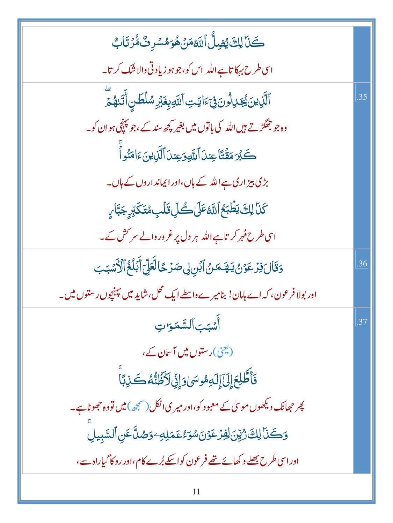| كَنَا لِكَ يُضِلُّ اللَّهُ مَنْ هُوَ مُسۡرِ ثُ مُّرۡ تَابُ                             |     |
|----------------------------------------------------------------------------------------|-----|
| اسی طرح بہکا تاہے اللہ  اس کو،جو ہو زیادتی والا شک کر تا۔                              |     |
| ٱلَّذِينَ يُجَدِلُونَ فِيَءَايَتِ ٱللَّهِبِغَيْرِ سُلۡطَسِ أَتَّدَهُمَّ                | .35 |
| وہ جو جھگڑتے ہیں اللہ کی باتوں میں بغیر کچھ سند کے ،جو پہنچی ہو ان کو۔                 |     |
| كَبُرَ مَقَّتًا عِندَ ٱللَّهِ وَعِندَ ٱلَّذِينَ ءَامَنُو أَ                            |     |
| بڑی بیز اری ہے اللہ کے ہاں،اور ایماند اروں کے ہاں۔                                     |     |
| <b>كَنَا لِكَ يَطْبَعُ ٱللَّهُ عَلَىٰ كُلِّ قَلْبِ مُتَكَبِّرٍ جَبَّا رِ</b>           |     |
| اسی طرح <i>مُہر کر</i> تاہے اللہ ہر دل پر غروروالے سر <sup>س</sup> ش کے۔               |     |
| <u>وَقَالَ فِرْعَوْنُ يَنْهَمَنُ</u> ٱبَنِ لِى صَرْحًا لَّعَلِّىٓ أَبَلُغُ ٱلْأَسۡبَبَ | .36 |
| اور بولا فرعون، کہ اے ہامان! بنامیرے داسطے ایک محل، شاید میں پہنچوں رستوں میں۔         |     |
| أَسْبَبَ ٱلسَّمَرَاتِ                                                                  | .37 |
| (یعنی)رستوں میں آسان کے،                                                               |     |
| فَأَطَّلِعَ إِلَىٰٓ إِلَىٰلاَ لِهِمُوسَىٰ وَإِنِّىٰ لَأَظُنُّهُ كَذِبَاْ               |     |
| پھر حجھانک دیکھوں موسیٰ کے معبود کو،اور میر ی اٹکل(صحیحہ) میں تووہ حج <i>ھ</i> وٹاہے۔  |     |
| <u>وَكَنَا لِكَ رُّيِّنَ لِفِرْعَوْنَ</u> سُوَءُعَمَلِهِ وَصُلَّ عَنِ ٱلسَّبِيلِ       |     |
| اور اسی طرح بھلے د کھائے تھے فرعون کواسکے بُرے کام،اور روکا گیاراہ سے،                 |     |
| 11                                                                                     |     |

ä.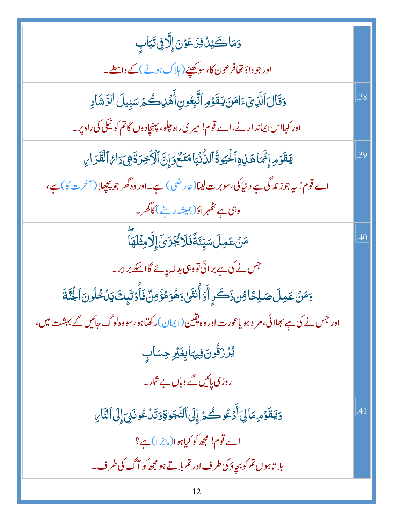| وَمَاكَيْنُ فِزْعَوْنَ إِلَّا فِي تَبَابِ                                                           |     |
|-----------------------------------------------------------------------------------------------------|-----|
| اور جو داؤ تھافرعون کا، سوکھپنے ( ہلاک ہونے ) کے واسطے۔                                             |     |
| وَقَالَ ٱلَّذِيَ ءَامَنَ يَقَوْمِ ٱتَّبِعُونِ أَهۡلِكُمۡ سَبِيلَ ٱلزَّشَادِ                         | .38 |
| اور کہااس ایماند ارنے،اے قوم! میر ی راہ جلو، پہنچادوں گاتم کو نیکی کی راہ پر۔                       |     |
| يَقَوْمِ إِنَّمَاهَذِهِ ٱلْحَيَوٰةُ ٱلدُّنۡيَامَتَـٰٓحَوَإِنَّ ٱلۡأَخِرَةَهِىَدَاهُ ٱلۡقَدَارِ      | .39 |
| اے قوم! یہ جوزند گی ہے د نیا کی،سوبرت لینا(عارضی) ہے۔اور وہ گھر جو پچچلا( آخرت کا) ہے،              |     |
| وہی ہے <i>تظہر</i> اوّ(ہمیشہ رہنے) کاگھر۔                                                           |     |
| <b>مَنۡعَمِلَسَیِّئَةَۖ فَلَا یُجۡزَیۡ</b> ۤ إِلَّا مِثۡلَهَآ                                       | .40 |
| جس نے کی ہے برائی تووہی بدلہ پائے گااسکے برابر۔                                                     |     |
| وَمَنۡ عَمِلَ صَلِحًا مِّن ذَكَرٍ أَوۡ أَنثَىٰ وَهُوَ مُؤۡصِّ فَأَوۡلَٰٓبِكَ يَنۡخُلُونَ ٱلۡجُنَّةَ |     |
| اور جس نے کی ہے بھلائی، مر د ہو یاعورت اور وہ یقین(ایمان)ر کھتاہو، سووہ لوگ جائیں گے بہشت میں،      |     |
| <i>ؽ۠ۯ۫</i> ڗ <i>ؘۊ۠۠</i> ۘۅۛۜڹ؋ۣڽؠٓٵۑؚۼؘؿڔڝؚۺٲٮٟۣ                                                  |     |
| روزی پائیں گے وہاں بے شار۔                                                                          |     |
| وَيَقَوْمِهَالِيَ أَدْعُوكُمْ إِلَى ٱلتَّجَرٰقِوَتَدَكْونَنِيَ إِلَى ٱلتَّارِ                       | .41 |
| اے قوم! مجھ کو کیاہوا(ماجرا)ہے؟                                                                     |     |
| بلا تاہوں تم کو بچاؤ کی طرف اور تم بلاتے ہو مجھ کو آگ کی طرف۔                                       |     |
|                                                                                                     |     |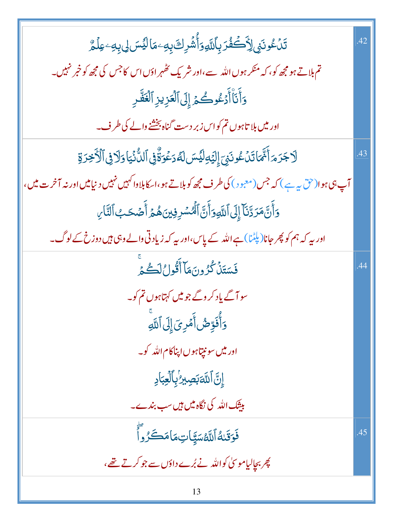| ؾٙڷٷٮؘڹۣٳڒؘٛڂۘڠ۠ۯۑؚٲڛۜ۠ۅؘٲؙۺ۫ڔڬؘڹؚٷٵڷؽڛڸڹۣڡؚٷڷۄ۠                                                       | .42 |
|--------------------------------------------------------------------------------------------------------|-----|
| تم بلاتے ہو مجھ کو، کہ منکر ہوں اللہ سے،اور شریک ٹھہر اوَں اس کا جس کی مجھ کو خبر نہیں۔                |     |
| وَأَنَأْ أَدۡعُوكُمۡ إِلَى ٱلۡعَزِيزِ ٱلۡعَظَّرِ                                                       |     |
| اور میں بلا تاہوں تم کواس زبر دست گناہ بخشنے والے کی طرف۔                                              |     |
| ڷٳڿڗۄؘٲ۠؆ٙۜٙؽٲؾؘڷٷٮؘڹۣٙٳؚڶؽٙٵڸۘؿڟڛڷڡٞۯۼۘۏۊٚۘ۠ڣۣٱڶڵۨ۠ٮؘؙۛؾٳۏڷٳڣۣٱڷۯڂؚڒۊ                                 | .43 |
| آپ ہی ہوا(حق یہ ہے ) کہ جس(معبود) کی طرف مجھ کو ہلاتے ہو،اسکابلاوا کہیں نہیں دنیامیں اور نہ آخر ت میں، |     |
| وَأَنَّ مَرَدَّنَآ إِلَى ٱللَّهِ وَأَنَّ ٱلۡمُسۡرِفِينَ هُمۡ أَصۡحَبُ ٱلنَّارِ                         |     |
| اور بیہ کہ ہم کو پھر جانا(پلِٹما) ہے اللہ کے پاس،اور بیہ کہ زیاد تی والے وہی ہیں دوزخ کے لوگ۔          |     |
| فَسَتَنۡكُرُونَمَآأَقُولُٱلۡكُمۡ                                                                       | .44 |
| سو آگے یاد کر دگے جو میں کہتاہوں تم کو۔                                                                |     |
| وَأُفَوِّضُ أَمۡرِیَ إِلَى ٱللَّهِ                                                                     |     |
| اور میں سونیتاہوں اپناکام اللہ کو۔                                                                     |     |
| إِنَّ ٱللَّهَبَصِيرُ'بِٱلْعِبَادِ                                                                      |     |
| بیٹنگ اللّٰہ کی نگاہ میں ہیں سب بندے۔                                                                  |     |
| فَوَقَىٰهُٱللَّهْسَيَّاتِمَامَكَرُواٌ                                                                  | .45 |
| پھر بچالیاموسیٰ کواللہ نے بُرے داؤں سے جو کرتے تھے،                                                    |     |
|                                                                                                        |     |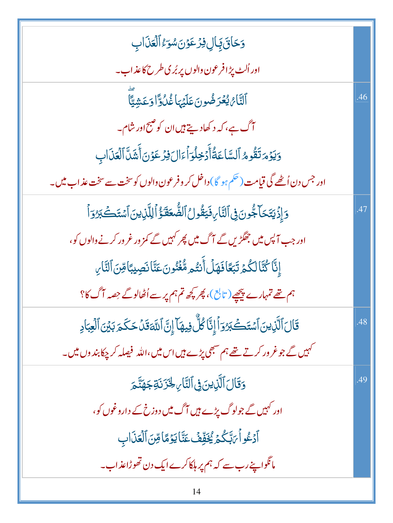| وَحَاقَ بِالِ فِرْعَوْنَ سُوَءُ ٱلْعَذَابِ                                                      |     |
|-------------------------------------------------------------------------------------------------|-----|
| اور اُلٹ پڑا فرعون والوں پر بُری طرح کاعذاب۔                                                    |     |
| ٱلنَّائْ يُعۡرَضُونَ عَلَيۡهَا غُلُوًّا وَعَشِيًّا                                              | .46 |
| آگ ہے، کہ د کھادیتے ہیں ان کو صبح اور شام۔                                                      |     |
| وَيَوْمَتَقُومُ ٱلسَّاعَةُأَدۡخِلُوٓأَءَالَ فِرۡعَوۡنَ أَشَلَّ ٱلۡعَذَابِ                       |     |
| اور جس دن اُٹھے گی قیامت (حکم ہو گا) داخل کر وفرعون والوں کوسخت سے سخت عذ اب میں۔               |     |
| وَإِذَيَتَكَا جُونَ فِى ٱلنَّارِ فَيَقُولُ ٱلضُّعَفَّؤُ ٱلِلَّذِينَ ٱسْتَكَبَّرُوَٱ             | .47 |
| اور جب آ <sup>پ</sup> س میں جھگڑیں گے آگ میں پ <i>ھر کہیں گے کمز</i> ور غرور کرنے والوں کو،     |     |
| إِنَّا كُتَّالِكُمۡ تَبَعَّافَهَلۡ أَنتُم مُّغۡنُونَ عَنَّانَصِيبًامِّنَ ٱلنَّارِ               |     |
| ہم تھے تمہارے پیچھے( تابع )، پھر کچھ تم ہم پر سے اُٹھالوگے جصہ آگ کا؟                           |     |
| قَالَ ٱلَّذِينَ ٱسۡتَكۡبَرُوٓ أَإِنَّا كُلُّ فِيهَآ إِنَّ ٱللَّٰٓقَالَ حَكَمَ بَيۡنَ ٱلۡعِبَادِ | .48 |
| کہیں گے جو غر ور کرتے تھے ہم سبھی پڑے ہیں اس میں،اللہ فیصلہ کر چکا بند وں میں۔                  |     |
| <u>وَقَالَ ٱلَّذِينَ فِى</u> ٱلتَّارِ لِخَزَنَةِجَهَنَّ <sub>هَ</sub>                           | .49 |
| اور کہیں گے جولوگ پڑے <del>ہی</del> ں آگ میں دوزخ کے داروغوں کو،                                |     |
| ٱدۡػُواۡۖ ٱبۡكُمۡ یُۡخَفِّفۡ عَنَّا یَوۡمَاۡ مِّنَ ٱلۡعَذَاب                                    |     |
| مانگواپنےرب سے کہ ہم پر ہلکاکرے ایک دن تھوڑاعذاب۔                                               |     |
| 14                                                                                              |     |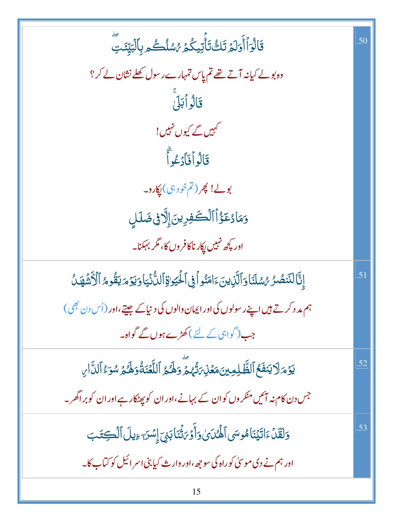| قَالْوَٱأۡوَلَمۡ تَكُ تَأۡتِیکُمۡ رُسُلُكُم بِٱلۡبَیِّنَتِ                                               | .50 |
|----------------------------------------------------------------------------------------------------------|-----|
| وہ بولے کیانہ آتے تھے تم پاس تمہارے رسول کھلے نشان لے کر؟                                                |     |
| قَالُواْبَلَ                                                                                             |     |
| کہیں گے کیوں نہیں!                                                                                       |     |
| قَالُواْفَأَدْعُواَّ                                                                                     |     |
| بولے! پھر (تم خود ہی) پکارو۔                                                                             |     |
| وَمَادُعَؤُاْ ٱلْكَفِرِينَ إِلَّا فِي ضَلَلٍ                                                             |     |
| اور کچھ نہیں پکار ناکافروں کا، مگر بہکنا۔                                                                |     |
| إِنَّاللَّنصُرُ مُسْلَنَا وَٱلَّذِينَ ءَامَنُواْ فِى ٱلْحَيَوٰةِ ٱللُّذِيَا وَيَوْمَ يَقُومُ ٱلْأَشْهَلُ | .51 |
| ہم مد د کرتے ہیں اپنے رسولوں کی اور ایمان والوں کی دنیا کے جیتے،اور (اُس دن بھی)                         |     |
| جب(گواہی کے لئے)کھڑے ہوں گے گواہ۔                                                                        |     |
| يَوۡمَرۡلَا يَنۡفَعُ ٱلظَّٰلِمِينَ مَعۡنِىٓ َتُّهُمۡٓ وَلَهُمُ ٱللَّّعۡنَةُوَلَّهُمۡ سُوَّۦۢ ٱلنَّارِ    | .52 |
| جس دن کام نہ آئیں منکر وں کوان کے بہانے،اور ان کو پھٹکار ہے اور ان کو براگھر۔                            |     |
| وَلَقَلْ ءَاتَيۡنَاهُوسَى ٱلۡهُمَاىٰ وَأَوۡىٰٓئَنَابَنِىَ إِسۡسَ ءِيلَ ٱلۡكِتَدَبَ                       | .53 |
| اور ہم نے دی موسیٰ کوراہ کی سوجھ،اور دارث کیابنی اسر ائیل کو کتاب کا۔                                    |     |
|                                                                                                          |     |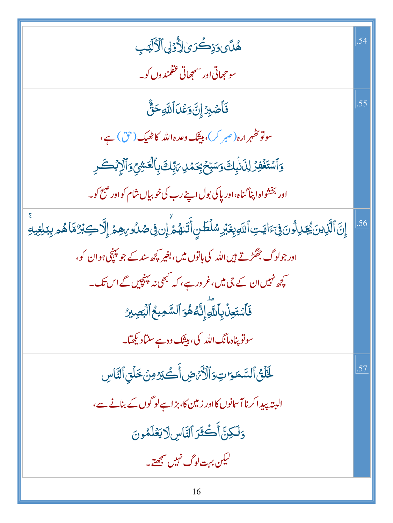| ۿؙڷؘؽۄؘۮؚۣڂۘڒێؗٳڒؙٛٷڸٲڷؘٲڵڹٙۘٮ۪                                                                                                                            | .54 |
|------------------------------------------------------------------------------------------------------------------------------------------------------------|-----|
| سوحجھاتی اور سمجھاتی عقلمندوں کو۔                                                                                                                          |     |
| فَأَصۡبِرۡ إِنَّ وَعۡدَ ٱللَّهِ حَقٌّ                                                                                                                      | .55 |
| سوتو تھُہرارہ(صبر کر)، بیٹک وعدہاللہ کاٹھیک (حق) ہے،                                                                                                       |     |
| <u>ۅؘ</u> ٲۺؾؘۼۘٛڣۣۯٳڸۯؘڹؗۑؚڬؘۅؘۺۑؚۨڂ؋ۣػڡٙڸ؆ۑؚۜڮ؋ۣٲڷۼۺۣۨۅؘٲڷٳۭڋڟػڔ                                                                                         |     |
| اور بخشواه اپناگناه،اور پاکی بول اپنے رب کی خوبیاں شام کواور صبح کو۔                                                                                       |     |
| ٳؚڹ <mark>ٞ</mark> ٲڷؘڕ۫ؠڹ <sub>ؽ</sub> ۢۼڕڷۄڹ؋ۣۦٙٳؾؾؚٲٮ <sub>ڵ</sub> ۅۑؚۼؘؽ <sub>ؚ</sub> ڔۺڶڟڹۣٲٞڐؘٮۿؽؘۨٳڹ؋ۣڞٮ <sub>ؗ</sub> ۯڔۿؚؽٙٳ۪ڷٳڲڹڒٛۃۜٲۿۄڹؚڹڶؚۼۣۑ؋ۨ | .56 |
| اور جولوگ جھگڑتے <del>ہ</del> یں اللہ کی باتوں میں، بغیر کچھ سند کے جو پنچچ ہو ان کو،                                                                      |     |
| کچھ نہیں ان کے جی میں،غرورہے، کہ کبھی نہ پہنچیں گے اس تک۔                                                                                                  |     |
| فَأَسْتَعِنَّ بِأَلتَّهِ إِنَّهُ هُوَ ٱلسَّمِيعُ ٱلْبَصِيرُ                                                                                                |     |
| سوتو پناہ مانگ اللہ کی، بیٹک وہ ہے سنیاد کیھیا۔                                                                                                            |     |
| لَحَلَّقُ ٱلسَّمَرَاتِ وَٱلْأَمَّضِ أَكْبَرُ مِنْ خَلَقِ ٱلنَّاسِ                                                                                          | .57 |
| البتہ پیداکرنا آسانوں کااور زمین کا، بڑاہےلو گوں کے بنانے سے،                                                                                              |     |
| وَلَكِنَّ أَكْثَرَ ٱلنَّاسِ لَايَعْلَمُونَ                                                                                                                 |     |
| لیکن بہت لوگ نہیں سمجھتے۔                                                                                                                                  |     |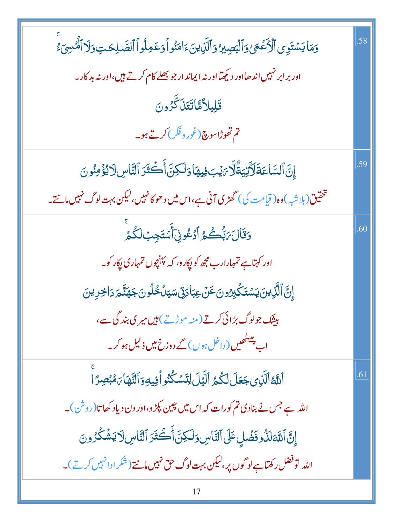| وَمَايَسْتَوِى ٱلْأَعۡعَىٰوَٱلۡبَصِيرُوَٱلَّٰٓذِينَۦَامَنُواۡوَعَمِلُواۡٱلصَّلِحَتِۥوَلَآٱلۡمُسِىٓءَ | .58 |
|------------------------------------------------------------------------------------------------------|-----|
| اور بر ابر نہیں اند ھااور دیکھیّااور نہ ایماند ار جو بھلے کام کرتے ہیں،اور نہ بد کار۔                |     |
| قَلِيلاًمَّاتَتَنَكَّرُونَ                                                                           |     |
| تم تھوڑاسوچ(غور وفکر) کرتے ہو۔                                                                       |     |
| إِنَّ السَّاعَةَلَأَتِيَةٌ لَّا يَبْ فِيهَا وَلَكِنَّ أَكْثَرَ ٱلنَّاسِ لَا يُؤْمِنُونَ              | .59 |
| تحقیق(بل <sub>اشب</sub> )وہ( قیامت کی) گھڑی آنی ہے،اس میں د ھوکانہیں،لیکن بہت لوگ نہیں مانتے۔        |     |
| وَقَالَ رَبُّكُمُ أَدْعُونِى أَسْتَجِبْ لَكُمْ                                                       | .60 |
| اور کہتاہے تمہارارب مجھ کو پکارو، کہ پینچوں تمہاری پکار کو۔                                          |     |
| ٳۣڹٞٲڶڷۜۯؚؠڹؘؾۺؾؘػ۬ڔۣۯۏڹؘٷؘۼڹٲۮۅٚڛؾڷڂٛڵۏڹؘڿۿڐۜڿڔؘڐٳڿڔۣؠڹ                                             |     |
| بیٹک جولوگ بڑائی کرتے (منہ موڑتے) ہیں میری بند گی سے،                                                |     |
| اب بینٹھیں ( داخل ہوں ) گے دوزخ <b>میں ذ<sup>لی</sup>ل ہو</b> کر۔                                    |     |
| ٱللَّهُ ٱلَّذِى جَعَلَ لَكُمُ ٱلَّيَٰلَ لِتَسَكُّنُو أَفِيهِ وَٱلنَّهَا بَهُبۡصِرً ا                 | .61 |
| اللہ ہے جس نے بنادی تم کورات کہ اس میں چین پکڑ و،اور دن دیاد کھاتا(روش)۔                             |     |
| إِنَّ اللَّهَ لَذُوفَضَلٍ عَلَى النَّاسِ وَلَكِنَّ أَكْثَرَ ٱلنَّاسِ لَا يَشْكُرُونَ                 |     |
| اللہ  توفضل رکھتاہے لو گوں پر،لیکن بہت لوگ حق نہیں مانتے(شکر ادانہیں کرتے)۔                          |     |
|                                                                                                      |     |

Ŧ.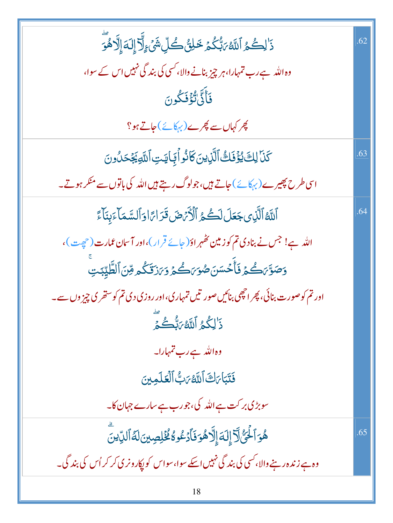| ۮٙ <sup>ٳ</sup> ڸػ۠ؽ۠ۥٲٮ <i>ڐؿ؆ڹ۠ػ۠ۮڂڸڽ۠</i> ٛڴڵؚۺؘٛۦٟڵؖڗٳ۪ڶؘ؋ٳ۪ڷۯۿؙۊۜ                             | .62 |
|----------------------------------------------------------------------------------------------------|-----|
| وہ اللہ ہے رب تمہارا، ہر چیز بنانے والا، کسی کی بند گی نہیں اس کے سوا،                             |     |
| فَأَنَّىٰٰتُؤۡفَكُونَ                                                                              |     |
| چر کہاں سے چرے (پہکائے)جاتے ہو؟                                                                    |     |
| كَنَا لِكَ يُؤْفَكُ ٱلَّذِينَ كَانُو أَبَجايَتِ ٱللَّهِ يَجْحَلُونَ                                | .63 |
| اسی طرح پھیرے (پہکائے) جاتے ہیں،جولوگ رہتے ہیں اللہ کی باتوں سے منکر ہوتے۔                         |     |
| ٱللَّهُ ٱلَّذِى جَعَلَ لَكُمُ ٱلْأَرْضَ قَدَارًا وَٱلسَّمَآءَبِنَآءً                               | .64 |
| اللہ ہے! جس نے بنادی تم کوزمین <i>کھہر</i> اوّ( جائے قرار )،اور آس <mark>ان عمارت</mark> (حجِیت )، |     |
| وَصَوَّىَكُمۡ فَأَحۡسَنَ صُوَىَكُمۡ وَيَزَدَّكُمۡ قِنَ ٱلطَّيِّبَتِ                                |     |
| اور تم کوصورت بنائی، پھر اچھی بنائیںصور تیں تمہاری،اور روزی دی تم کوستھری چیز وں سے۔               |     |
| ذَ <sup>ا</sup> لِكُمُ ٱللَّهُ مَبُّكُمَّ                                                          |     |
| وہ اللہ ہے رب تمہارا۔                                                                              |     |
| فَتَبَاىَكَ ٱللَّهُ مَبُّ ٱلۡقَلَمِينَ                                                             |     |
| سوبڑی بر کت ہے اللہ کی،جورب ہے سارے جہان کا۔                                                       |     |
| ۿؙۏٱڂؖ۬ؾ۠ٞٳؖۧٳٙٳڶؘ؋ٳ۪ٳؖٞۮۿۏڡؘٲڋۼ۠ۏۀٮ۠ٛڂ۫ڸڝؚؾڹڶۀٱڶڮۨؾؖ                                              | .65 |
| وہ ہے زند ہ رہنے والا، کسی کی بند گی نہیں اسکے سوا، سواس کو پکارونر کی کر کر اُس کی بند گی۔        |     |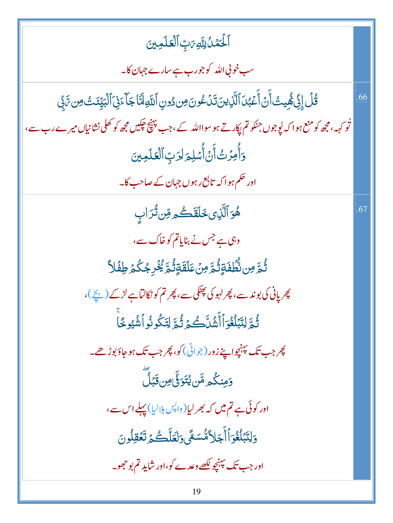| ٱلۡۡكَمَّلُ لِلَّهِِمَٰتِِّ ٱلۡقَلَمِینَ                                                                                                        |     |
|-------------------------------------------------------------------------------------------------------------------------------------------------|-----|
| سب خوبی اللہ کو جورب ہے سارے جہان کا۔                                                                                                           |     |
| ۛ قُلۡ إِنِّى هُٔمِيتُ أَنۡ أَعۡبُدَ ٱلَّذِينَ تَدۡ عُونَ مِن دُونِ ٱللَّهِ لَّمَّا جَاۤ ۚ ذِيَ ٱلۡبَيِّنَتُ مِن تَّ بِّي                       | .66 |
| ٹُو <sub>ک</sub> ہہ،مجھ کومنع ہوا کہ پُوجوں جنکوتم <sub>ل</sub> پکارتے ہو سوااللّٰہ کے،جب پہنچ <del>جکی</del> ں مجھ کو کھلی نشانیاں میرے رب سے، |     |
| <u>و</u> َأُمِرُتُ أَنۡ أُسۡلِمَ لِرَبِّ ٱلۡعَلَمِينَ                                                                                           |     |
| اور حکم ہوا کہ تابع رہوں جہان کے صاحب کا۔                                                                                                       |     |
| ۿؘۏٱڷؘۜڹؚؠڂڶڦؘڴڡڡؚۨڽڽڎ۠ڒٳٮٜ                                                                                                                     | .67 |
| وہی ہے جس نے بنایاتم کوخاک سے،                                                                                                                  |     |
| ڐؙ <sub>ڟ</sub> ۜٶڹڹ۠ۨڟؖڡؘ۬ۊٟڐؙ <sub>ڟ</sub> ۜٶڹؙۘٙٙٙٵؘڡۜۊٟڐؙۿ <i>ؚ</i> ڲؙڔۼػؙ۠۠۠۠ <sub>ڡٛ</sub> ٙڂؚڡڵۮؖ                                        |     |
| پھر پانی کی بوند سے، پھر لہو کی پھٹکی سے، پھر تم کو نکالتاہے لڑکے ( بچے )،                                                                      |     |
| ثُمَّ لِتَبۡلُغُوَاۡأَشُلَّكُمۡ ثُمَّ لِتَكُونُواۡشُيُوخَا                                                                                      |     |
| چر جب تک پېن <u>چواپ</u> خ زور (جوانی) کو، چر جب تک ہو جاؤ بوڑ ھے۔                                                                              |     |
| <u>وَمِ</u> نكُم <sup>ِ مِ</sup> ّن يُتَوَوِّ مِن تَبُلُّ                                                                                       |     |
| اور کوئی ہے <b>تم می</b> ں کہ بھر لیا(واپس ہلالیا) پہلے اس سے،                                                                                  |     |
| وَلِتَبۡلَغُوٓأَأَجَلاًمُّسَمَّىوَلَعَلَّكُمۡ تَعۡقِلُونَ                                                                                       |     |
| اور جب تک پہنچو لکھے وعدے کو،اور شاید تم بو حجھو۔                                                                                               |     |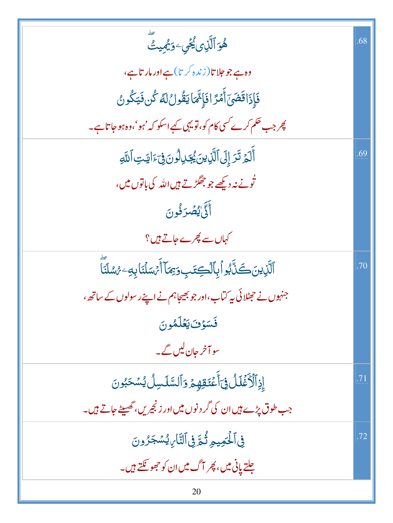| ۿؘۊٱڷۜڹ؈ <i>ؽ۠ڂ</i> ٙؠۦۅؘؿؙ <i>ڣ</i> ٟۑٮ۠ٛ                              | .68 |
|-------------------------------------------------------------------------|-----|
| وہ ہے جو حلا تا(زندہ کر تا)ہے اور مار تاہے،                             |     |
| فَإِذَاقَضَىٓ أَمَّرَّ افَإِئَّمَايَقُولُ لَهُ كُن فَيَكُونُ            |     |
| پھر جب حکم کرے کسی کام کو، تو یہی کہے اسکو کہ 'ہو'،وہ ہو جا تاہے۔       |     |
| أَلَمْ تَرَ إِلَى ٱلَّذِينَ يُجَدِلُونَ فِيَءَايَتِ ٱللَّهِ             | .69 |
| تُونے نہ دیکھے جو جھگڑتے ہیں اللہ کی باتوں میں،                         |     |
| أَلَّىٰ يُصۡرَفُونَ                                                     |     |
| کہاں سے پھرے جاتے ہیں؟                                                  |     |
| ٱلَّذِينَ كَنَّابُواْبِٱلْكِتَبِ وَبِمَآ أَمَّسَلَّنَا بِهِۦ مُسُلَّنَا | .70 |
| جنہوں نے حجٹلائی پہ کتاب،اور جو بھیجاہم نے اپنے رسولوں کے ساتھ،         |     |
| فَسَوْفَ يَعْلَمُونَ                                                    |     |
| سو آخر حان <u>لیں گے</u> ۔                                              |     |
| ۪ٳؚۮؚؚٱڷؘٲڬؘڶڵ؋ۣؾٲۧۘۼؘۘؾۊڥٟۄڋۊٱڶڛۜٞڷڛڷؽ۠ۺڂڹٛۏڹ                          | .71 |
| جب طوق پڑے ہیں ان کی گر دنوں میں اور زنجیریں، گھیلٹے جاتے ہیں۔          |     |
| ڣ۩ڶؖػڡؠؠۄؚڐؙ۠ <sub>ڟۜ</sub> ۏ۩ڷؾٞٲڔ <i>ؠ</i> ۠ۺڿۯۅڹ                     | .72 |
| جلتے پانی میں، پھر آگ میں ان کو جھو <del>گنتے</del> ہیں۔                |     |
| 20                                                                      |     |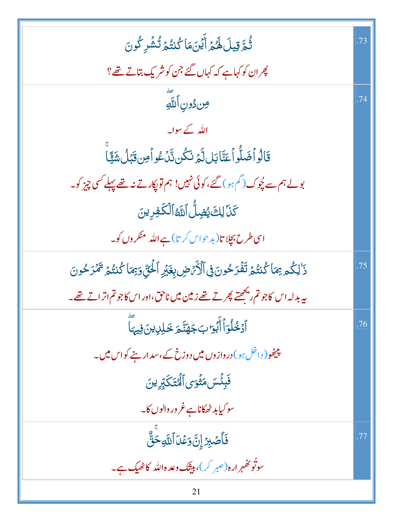| ثُمَّ قِيلَ لَهُمَّ أَيۡنَ مَا كُنتُمۡ تُشۡرِ كُونَ                                            | .73 |
|------------------------------------------------------------------------------------------------|-----|
| پھران کو کہاہے کہ کہاں گئے جن کو شریک بتاتے تھے؟                                               |     |
| مِندُونِ ٱللَّهِ                                                                               | .74 |
| اللّٰہ کے سوایہ                                                                                |     |
| قَالُواْضَلُّواْعَنَّابَلِلَّهُ نَكُن نَّكَ عُواْمِن قَبَلُ شَيًّا                             |     |
| بولے ہم سے چُوک (گَمِ ہو ) گئے، کوئی نہیں! ہم تو پکارتے نہ تھے پہلے کسی چیز کو۔                |     |
| كَنَا لِكَ يُضِلُّ ٱلتَّهُ ٱلْكَفِرِينَ                                                        |     |
| اسی طرح بجلا تا( بد حواس کر تا) ہے اللہ منکر وں کو۔                                            |     |
| ذَٰلِكُم بِمَا كُنتُمۡ تَفۡرَكُونَ فِى ٱلۡأَرۡصِ بِغَيۡرِ ٱلۡئِیِّ دَبۡمَا كُنتُمۡ تَمۡرَكُونَ | .75 |
| ىيەبدلەاس كاجوتم <sub>ارى</sub> ڭ <u>ھىتەپھر تەسھ</u> ەزىين ميں ناحق،اوراس كاجوتم اتراتے تھے۔  |     |
| ٱدۡخُلۡوَٱأَبَۡوَابَ جَهَنَّحَ خَلِلِينَ فِيهَا                                                | .76 |
| پیٹھو( داخل ہو) دروازوں میں دوزخ کے ،سد ار بنے کواس میں۔                                       |     |
| فَبِئَسَ مَثْوَى ٱلْمُتَكَبِّرِينَ                                                             |     |
| سو کیابد ٹھکاناہے غرور والوں کا۔                                                               |     |
| <u>فَ</u> أَصۡبِرۡۚ إِنَّ وَعۡدَ ٱللَّهِ حَقٌّ                                                 | .77 |
| سوتُو تِھُہرِ ارہ( صبر کر )، بیٹِک وعدہ اللّٰہ کاٹھیک ہے۔                                      |     |
| 21                                                                                             |     |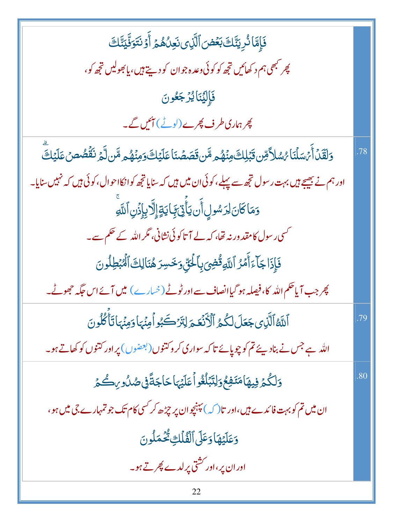| فَإِمَّا نُرِيَّنَكَ بَعۡضَ ٱلَّذِى نَعِلُهُمۡ أَوۡ نَتَوَفَّيَنَّكَ                                                                    |     |
|-----------------------------------------------------------------------------------------------------------------------------------------|-----|
| <i>پھر کبھ</i> ی ہم د کھائیں تجھ کو کوئی وعد ہجوان کو دیتے ہیں، یابھولیں تجھ کو،                                                        |     |
| فَإِلِيَّنَايُرْجَعُونَ                                                                                                                 |     |
| پھر ہماری طرف پھرے (لوٹے) آئیں گے۔                                                                                                      |     |
| <mark>وَلَقَّلۡ</mark> أَيۡسَلۡنَاۚ $\ell$ سُلاَّ قِن قَبَٰلِكَ مِنۡهُم مَّن قَصَصۡنَاۚ عَلَيۡكَ وَمِنۡهُم مَّن لَّمۡ نَقُصُصَ عَلَيۡكَ | .78 |
| اور ہم نے بھیجے ہیں بہت رسول تجھ سے پہلے، کوئی ان میں ہیں کہ سنایا تجھ کوانکااحوال، کوئی ہیں کہ نہیں سنایا۔                             |     |
| وَمَاكَانَ لِرَسُولٍ أَن يَأْتِيَ بَايَةٍ إِلَّا بِإِذَنِ ٱللَّهِ                                                                       |     |
| <sup>کس</sup> ی رسول کامقد ورنہ تھا، کہ لے آ تاکوئی نشانی، مگر اللہ کے حکم سے۔                                                          |     |
| فَإِذَاجَآءَأَمَّرُ ٱللَّهِقُّضِى بِٱلۡـٰٓئِّ وَخَسِرَ هُنَالِكَ ٱلۡٱبۡطِلُونَ                                                          |     |
| چرجب آیاحکم اللہ کا،فیصلہ ہو گیاانصاف سے اور ٹوٹے (خسارے ) میں آئے اس حگہ حجھوٹے۔                                                       |     |
| ٱللَّهُ ٱلَّذِى جَعَلَ لَكُمُ ٱلْأَنْعَمَ لِتَرْكَبُو أُمِنۡهَا وَمِنۡهَاتَأۡ كُلُونَ                                                   | .79 |
| اللہ ہے جس نے بناد پئے تم کو چوپائے تا کہ سواری کر وکتنوں (بعضوں) پر اور کتنوں کو کھاتے ہو۔                                             |     |
| وَلَكُمْ فِيهَامَنَفِعُ وَلِتَبَلُغُواً عَلَيْهَا حَاجَةً فِى صُدُورِكُمْ                                                               | .80 |
| ان میں تم کو بہت فائدے ہیں،اور تا( کہ ) پہنچوان پر چڑھ کر <sup>کس</sup> ی کام تک جو تمہارے جی میں ہو،                                   |     |
| وَعَلَيْهَا وَعَلَى ٱلْقُلَكِ تُحْمَلُونَ                                                                                               |     |
| اور ان پر ،اور کشتی پر لدے پھر تے ہو۔                                                                                                   |     |
|                                                                                                                                         |     |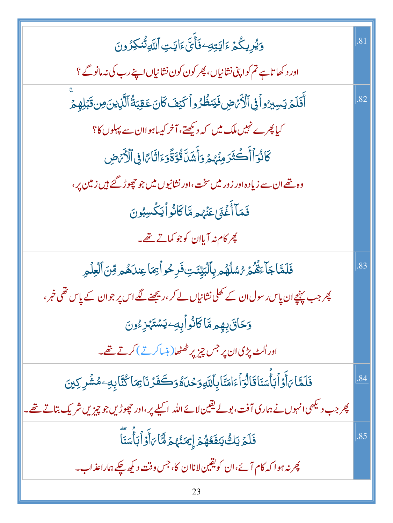| <u>ٷۑ۠ڔ</u> ۑػٛؽ؏ٵؾؾؚ <i>ڢ</i> ٷؘٲؙۜؠؘۜ؏ؘٳؾؾؚٲڷڶ <sub>ۜڶ</sub> ۊڷؙٮ۬ڬؚۯۅڹ                            | .81 |
|------------------------------------------------------------------------------------------------------|-----|
| اور د کھاتاہے تم کواپنی نشانیاں، پھر کون کون نشانیاں اپنے رب کی نہ مانو گے ؟                         |     |
| أَفَلَمُ يَسِبِرُواْ فِى ٱلْأَرْضِ فَيَنظُرُواْ كَيْفَ كَانَ عَقِبَةُ ٱلَّذِينَ مِن قَبَلِهِمْ       | .82 |
| کیا پھرے نہیں ملک میں کہ دیکھتے، آخر کیساہواان سے پہلوں کا؟                                          |     |
| كَانُوَأَأَكُثَرَ مِنْهُمْ وَأَشَلَّقُوَّةًوَءَاثَاءًا فِى ٱلْأَرْضِ                                 |     |
| وہ تھے ان سے زیادہ اور زور میں سخت، اور نشانیوں میں جو حچوڑ گئے ہیں زمین پر ،                        |     |
| فَمَآ أَغۡنَى عَنۡهُم مَّاكَانُواۡ لَيَكۡسِبُونَ                                                     |     |
| پھر کام نہ آیاان کوجو کمات <u>ے تھے</u> ۔                                                            |     |
| فَلَمَّا جَآءَهُمۡ رُسُلُهُم بِٱلۡبَيِّنَتِ فَرِحُواۡ بِمَا عِندَهُم مِّنَ ٱلۡعِلۡمِ                 | .83 |
| پھر جب پہنچےان پاس رسول ان کے کھلی نشانیاں لے کر ،ریجھنے لگے اس پر جوان کے پاس تھی خمر ،             |     |
| <u>وَحَاقَ بِهِم مَّاكَانُوآبِهِۦيَسۡتَهۡزِءُونَ</u>                                                 |     |
| اور اُلٹ پڑی ان پر جس چیز پر ٹھٹھا( ہنساکرتے ) کرتے تھے۔                                             |     |
| فَلَمَّا بَأَوَٱبَأَسَنَاقَالُوَٱءَامَنَّابِٱللَّهِوَحُلَّةُوَكَفَزَنَا بِمَا كُنَّابِهِۦهُشۡرِكِينَ | .84 |
| پھر جب دیکھی انہوں نے ہماری آفت، بولے یقین لائے اللہ اکیلے پر،اور حچوڑیں جو چیزیں شریک بتاتے تھے۔    |     |
| فَلَمَ يَكُّ يَنفَعُهُمُ إِيمَنُهُمْ لَمَّا بَأَوۡاۡ بَأَيۡسَنَآ                                     | .85 |
| پھر نہ ہوا کہ کام آئے،ان کویقین لاناان کا، جس وقت دیکھ چکے ہماراعذاب۔                                |     |
|                                                                                                      |     |